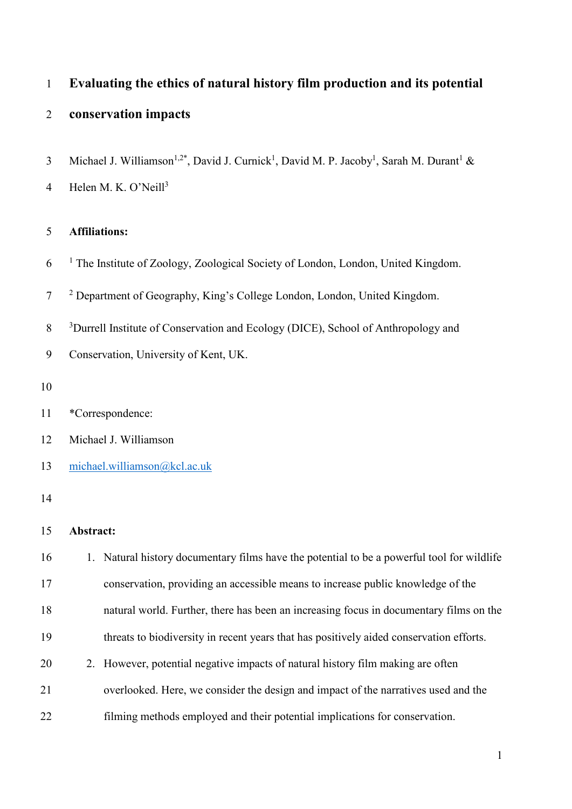| $\mathbf{1}$   | Evaluating the ethics of natural history film production and its potential                                                               |
|----------------|------------------------------------------------------------------------------------------------------------------------------------------|
| $\overline{2}$ | conservation impacts                                                                                                                     |
| $\mathfrak{Z}$ | Michael J. Williamson <sup>1,2*</sup> , David J. Curnick <sup>1</sup> , David M. P. Jacoby <sup>1</sup> , Sarah M. Durant <sup>1</sup> & |
| $\overline{4}$ | Helen M. K. O'Neill <sup>3</sup>                                                                                                         |
| 5              | <b>Affiliations:</b>                                                                                                                     |
| 6              | <sup>1</sup> The Institute of Zoology, Zoological Society of London, London, United Kingdom.                                             |
| $\tau$         | <sup>2</sup> Department of Geography, King's College London, London, United Kingdom.                                                     |
| $8\,$          | <sup>3</sup> Durrell Institute of Conservation and Ecology (DICE), School of Anthropology and                                            |
| 9              | Conservation, University of Kent, UK.                                                                                                    |
| 10             |                                                                                                                                          |
| 11             | *Correspondence:                                                                                                                         |
| 12             | Michael J. Williamson                                                                                                                    |
| 13             | michael.williamson@kcl.ac.uk                                                                                                             |
| 14             |                                                                                                                                          |
| 15             | Abstract:                                                                                                                                |
| 16             | 1. Natural history documentary films have the potential to be a powerful tool for wildlife                                               |
| 17             | conservation, providing an accessible means to increase public knowledge of the                                                          |
| 18             | natural world. Further, there has been an increasing focus in documentary films on the                                                   |
| 19             | threats to biodiversity in recent years that has positively aided conservation efforts.                                                  |
| 20             | However, potential negative impacts of natural history film making are often<br>2.                                                       |
| 21             | overlooked. Here, we consider the design and impact of the narratives used and the                                                       |
| 22             | filming methods employed and their potential implications for conservation.                                                              |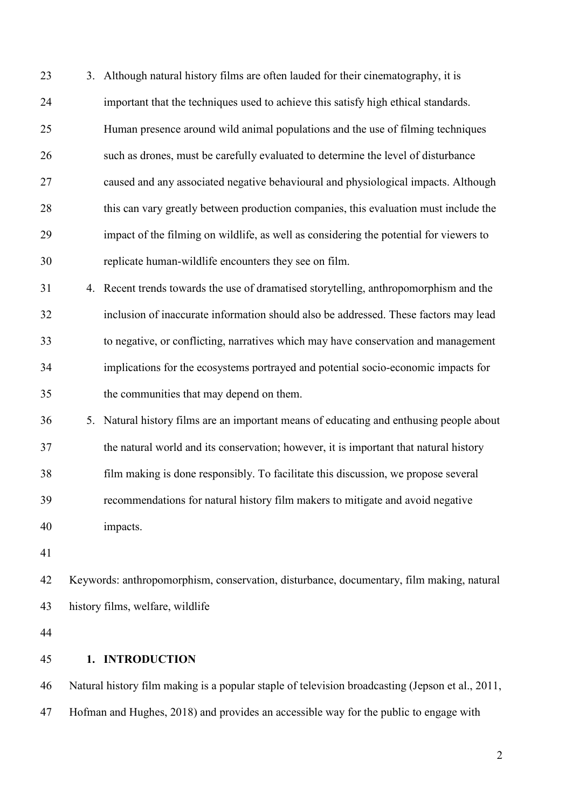3. Although natural history films are often lauded for their cinematography, it is important that the techniques used to achieve this satisfy high ethical standards. Human presence around wild animal populations and the use of filming techniques such as drones, must be carefully evaluated to determine the level of disturbance caused and any associated negative behavioural and physiological impacts. Although this can vary greatly between production companies, this evaluation must include the impact of the filming on wildlife, as well as considering the potential for viewers to replicate human-wildlife encounters they see on film.

 4. Recent trends towards the use of dramatised storytelling, anthropomorphism and the inclusion of inaccurate information should also be addressed. These factors may lead to negative, or conflicting, narratives which may have conservation and management implications for the ecosystems portrayed and potential socio-economic impacts for the communities that may depend on them.

 5. Natural history films are an important means of educating and enthusing people about the natural world and its conservation; however, it is important that natural history film making is done responsibly. To facilitate this discussion, we propose several recommendations for natural history film makers to mitigate and avoid negative impacts.

 Keywords: anthropomorphism, conservation, disturbance, documentary, film making, natural history films, welfare, wildlife

**1. INTRODUCTION**

 Natural history film making is a popular staple of television broadcasting (Jepson et al., 2011, Hofman and Hughes, 2018) and provides an accessible way for the public to engage with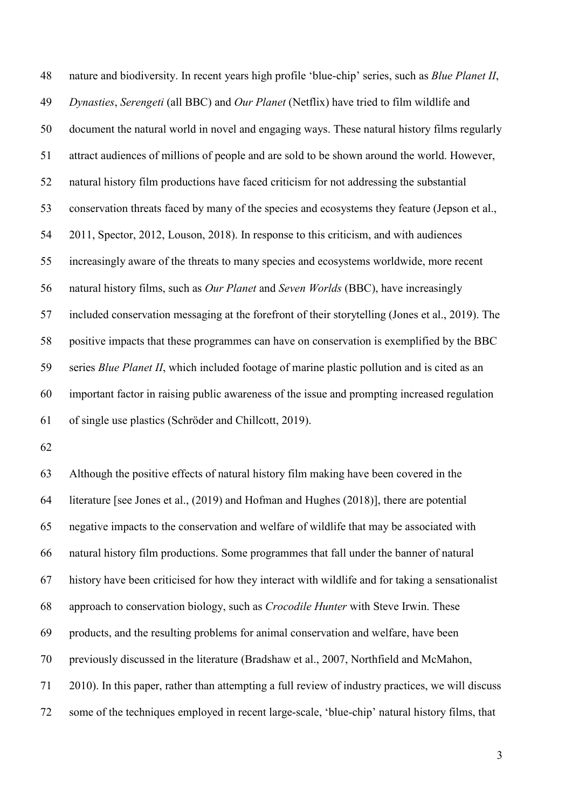nature and biodiversity. In recent years high profile 'blue-chip' series, such as *Blue Planet II*, *Dynasties*, *Serengeti* (all BBC) and *Our Planet* (Netflix) have tried to film wildlife and document the natural world in novel and engaging ways. These natural history films regularly attract audiences of millions of people and are sold to be shown around the world. However, natural history film productions have faced criticism for not addressing the substantial conservation threats faced by many of the species and ecosystems they feature (Jepson et al., 2011, Spector, 2012, Louson, 2018). In response to this criticism, and with audiences increasingly aware of the threats to many species and ecosystems worldwide, more recent natural history films, such as *Our Planet* and *Seven Worlds* (BBC), have increasingly included conservation messaging at the forefront of their storytelling (Jones et al., 2019). The positive impacts that these programmes can have on conservation is exemplified by the BBC series *Blue Planet II*, which included footage of marine plastic pollution and is cited as an important factor in raising public awareness of the issue and prompting increased regulation of single use plastics (Schröder and Chillcott, 2019).

 Although the positive effects of natural history film making have been covered in the literature [see Jones et al., (2019) and Hofman and Hughes (2018)], there are potential negative impacts to the conservation and welfare of wildlife that may be associated with natural history film productions. Some programmes that fall under the banner of natural history have been criticised for how they interact with wildlife and for taking a sensationalist approach to conservation biology, such as *Crocodile Hunter* with Steve Irwin. These products, and the resulting problems for animal conservation and welfare, have been previously discussed in the literature (Bradshaw et al., 2007, Northfield and McMahon, 2010). In this paper, rather than attempting a full review of industry practices, we will discuss some of the techniques employed in recent large-scale, 'blue-chip' natural history films, that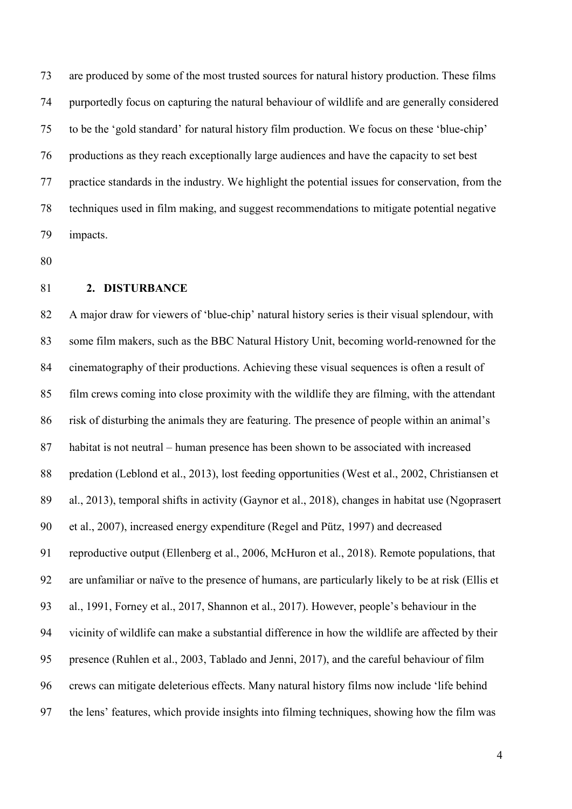are produced by some of the most trusted sources for natural history production. These films purportedly focus on capturing the natural behaviour of wildlife and are generally considered to be the 'gold standard' for natural history film production. We focus on these 'blue-chip' productions as they reach exceptionally large audiences and have the capacity to set best practice standards in the industry. We highlight the potential issues for conservation, from the techniques used in film making, and suggest recommendations to mitigate potential negative impacts.

### **2. DISTURBANCE**

 A major draw for viewers of 'blue-chip' natural history series is their visual splendour, with some film makers, such as the BBC Natural History Unit, becoming world-renowned for the cinematography of their productions. Achieving these visual sequences is often a result of film crews coming into close proximity with the wildlife they are filming, with the attendant risk of disturbing the animals they are featuring. The presence of people within an animal's habitat is not neutral – human presence has been shown to be associated with increased predation (Leblond et al., 2013), lost feeding opportunities (West et al., 2002, Christiansen et al., 2013), temporal shifts in activity (Gaynor et al., 2018), changes in habitat use (Ngoprasert et al., 2007), increased energy expenditure (Regel and Pütz, 1997) and decreased reproductive output (Ellenberg et al., 2006, McHuron et al., 2018). Remote populations, that are unfamiliar or naïve to the presence of humans, are particularly likely to be at risk (Ellis et al., 1991, Forney et al., 2017, Shannon et al., 2017). However, people's behaviour in the vicinity of wildlife can make a substantial difference in how the wildlife are affected by their presence (Ruhlen et al., 2003, Tablado and Jenni, 2017), and the careful behaviour of film crews can mitigate deleterious effects. Many natural history films now include 'life behind the lens' features, which provide insights into filming techniques, showing how the film was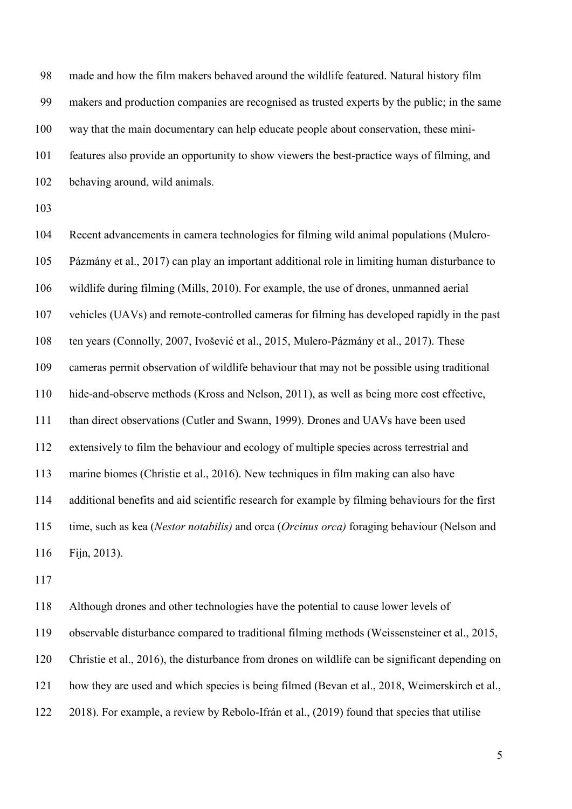made and how the film makers behaved around the wildlife featured. Natural history film makers and production companies are recognised as trusted experts by the public; in the same way that the main documentary can help educate people about conservation, these mini- features also provide an opportunity to show viewers the best-practice ways of filming, and behaving around, wild animals.

 Recent advancements in camera technologies for filming wild animal populations (Mulero- Pázmány et al., 2017) can play an important additional role in limiting human disturbance to wildlife during filming (Mills, 2010). For example, the use of drones, unmanned aerial vehicles (UAVs) and remote-controlled cameras for filming has developed rapidly in the past ten years (Connolly, 2007, Ivošević et al., 2015, Mulero-Pázmány et al., 2017). These cameras permit observation of wildlife behaviour that may not be possible using traditional hide-and-observe methods (Kross and Nelson, 2011), as well as being more cost effective, than direct observations (Cutler and Swann, 1999). Drones and UAVs have been used extensively to film the behaviour and ecology of multiple species across terrestrial and marine biomes (Christie et al., 2016). New techniques in film making can also have additional benefits and aid scientific research for example by filming behaviours for the first time, such as kea (*Nestor notabilis)* and orca (*Orcinus orca)* foraging behaviour (Nelson and 116 Fijn, 2013).

 Although drones and other technologies have the potential to cause lower levels of observable disturbance compared to traditional filming methods (Weissensteiner et al., 2015, Christie et al., 2016), the disturbance from drones on wildlife can be significant depending on how they are used and which species is being filmed (Bevan et al., 2018, Weimerskirch et al., 2018). For example, a review by Rebolo-Ifrán et al., (2019) found that species that utilise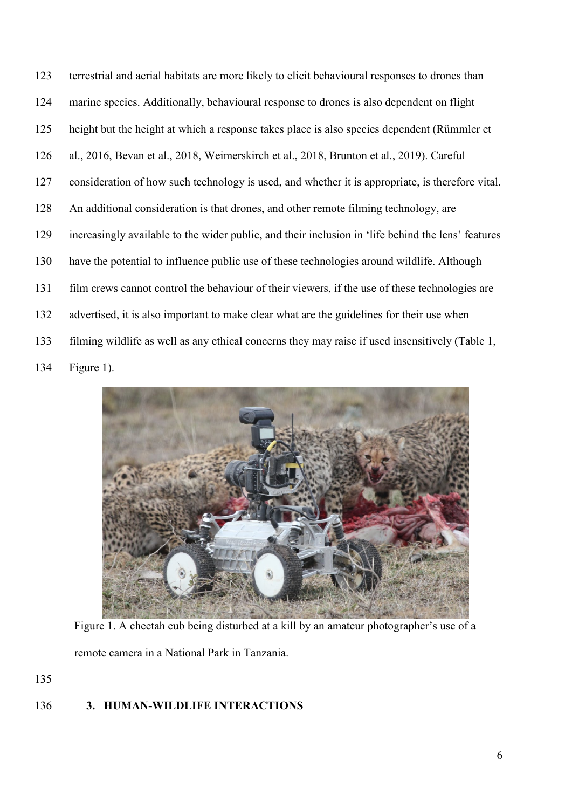terrestrial and aerial habitats are more likely to elicit behavioural responses to drones than marine species. Additionally, behavioural response to drones is also dependent on flight height but the height at which a response takes place is also species dependent (Rümmler et al., 2016, Bevan et al., 2018, Weimerskirch et al., 2018, Brunton et al., 2019). Careful consideration of how such technology is used, and whether it is appropriate, is therefore vital. An additional consideration is that drones, and other remote filming technology, are increasingly available to the wider public, and their inclusion in 'life behind the lens' features have the potential to influence public use of these technologies around wildlife. Although film crews cannot control the behaviour of their viewers, if the use of these technologies are advertised, it is also important to make clear what are the guidelines for their use when filming wildlife as well as any ethical concerns they may raise if used insensitively (Table 1, Figure 1).



Figure 1. A cheetah cub being disturbed at a kill by an amateur photographer's use of a remote camera in a National Park in Tanzania.

# **3. HUMAN-WILDLIFE INTERACTIONS**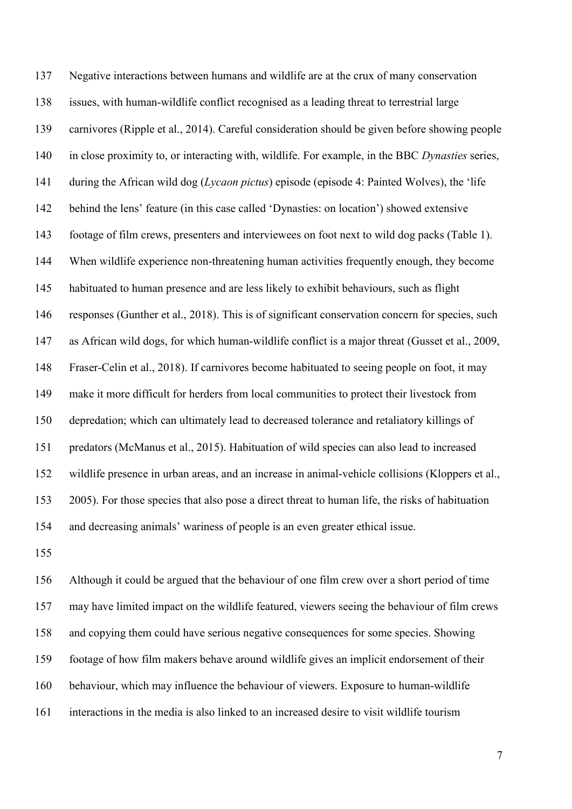Negative interactions between humans and wildlife are at the crux of many conservation issues, with human-wildlife conflict recognised as a leading threat to terrestrial large carnivores (Ripple et al., 2014). Careful consideration should be given before showing people in close proximity to, or interacting with, wildlife. For example, in the BBC *Dynasties* series, during the African wild dog (*Lycaon pictus*) episode (episode 4: Painted Wolves), the 'life behind the lens' feature (in this case called 'Dynasties: on location') showed extensive footage of film crews, presenters and interviewees on foot next to wild dog packs (Table 1). When wildlife experience non-threatening human activities frequently enough, they become habituated to human presence and are less likely to exhibit behaviours, such as flight responses (Gunther et al., 2018). This is of significant conservation concern for species, such as African wild dogs, for which human-wildlife conflict is a major threat (Gusset et al., 2009, Fraser-Celin et al., 2018). If carnivores become habituated to seeing people on foot, it may make it more difficult for herders from local communities to protect their livestock from depredation; which can ultimately lead to decreased tolerance and retaliatory killings of predators (McManus et al., 2015). Habituation of wild species can also lead to increased wildlife presence in urban areas, and an increase in animal-vehicle collisions (Kloppers et al., 2005). For those species that also pose a direct threat to human life, the risks of habituation and decreasing animals' wariness of people is an even greater ethical issue.

 Although it could be argued that the behaviour of one film crew over a short period of time may have limited impact on the wildlife featured, viewers seeing the behaviour of film crews and copying them could have serious negative consequences for some species. Showing footage of how film makers behave around wildlife gives an implicit endorsement of their behaviour, which may influence the behaviour of viewers. Exposure to human-wildlife interactions in the media is also linked to an increased desire to visit wildlife tourism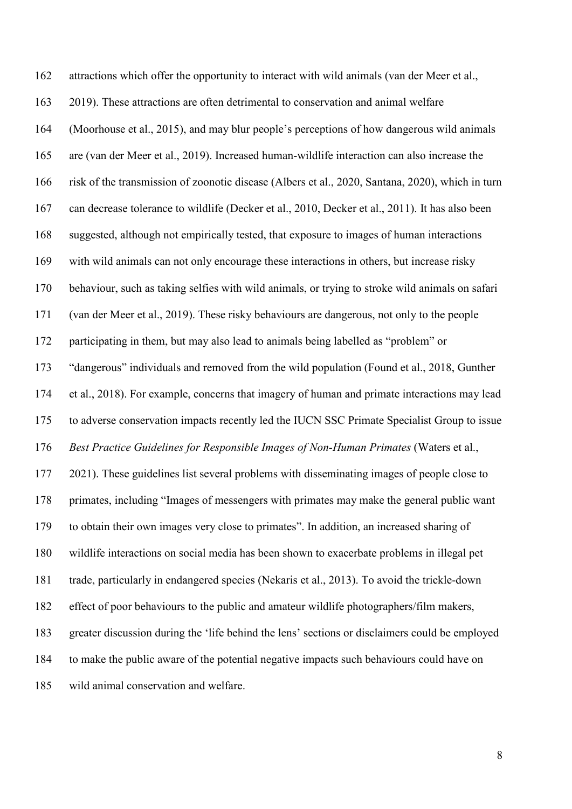attractions which offer the opportunity to interact with wild animals (van der Meer et al., 2019). These attractions are often detrimental to conservation and animal welfare (Moorhouse et al., 2015), and may blur people's perceptions of how dangerous wild animals are (van der Meer et al., 2019). Increased human-wildlife interaction can also increase the risk of the transmission of zoonotic disease (Albers et al., 2020, Santana, 2020), which in turn can decrease tolerance to wildlife (Decker et al., 2010, Decker et al., 2011). It has also been suggested, although not empirically tested, that exposure to images of human interactions with wild animals can not only encourage these interactions in others, but increase risky behaviour, such as taking selfies with wild animals, or trying to stroke wild animals on safari (van der Meer et al., 2019). These risky behaviours are dangerous, not only to the people participating in them, but may also lead to animals being labelled as "problem" or "dangerous" individuals and removed from the wild population (Found et al., 2018, Gunther et al., 2018). For example, concerns that imagery of human and primate interactions may lead to adverse conservation impacts recently led the IUCN SSC Primate Specialist Group to issue *Best Practice Guidelines for Responsible Images of Non-Human Primates* (Waters et al., 2021). These guidelines list several problems with disseminating images of people close to primates, including "Images of messengers with primates may make the general public want to obtain their own images very close to primates". In addition, an increased sharing of wildlife interactions on social media has been shown to exacerbate problems in illegal pet trade, particularly in endangered species (Nekaris et al., 2013). To avoid the trickle-down effect of poor behaviours to the public and amateur wildlife photographers/film makers, greater discussion during the 'life behind the lens' sections or disclaimers could be employed to make the public aware of the potential negative impacts such behaviours could have on wild animal conservation and welfare.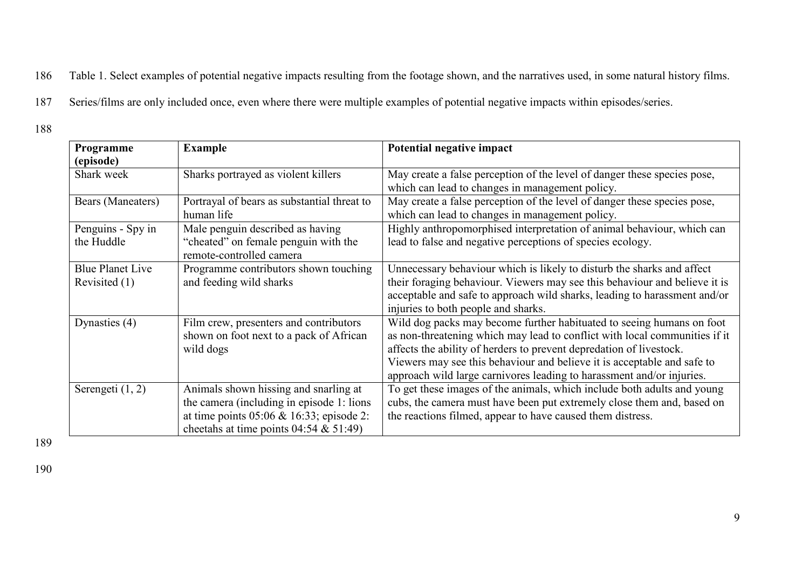186 Table 1. Select examples of potential negative impacts resulting from the footage shown, and the narratives used, in some natural history films.

187 Series/films are only included once, even where there were multiple examples of potential negative impacts within episodes/series.

188

| Programme<br>(episode)                   | <b>Example</b>                                                                                                                                                                 | Potential negative impact                                                                                                                                                                                                                                                                                                                                                      |
|------------------------------------------|--------------------------------------------------------------------------------------------------------------------------------------------------------------------------------|--------------------------------------------------------------------------------------------------------------------------------------------------------------------------------------------------------------------------------------------------------------------------------------------------------------------------------------------------------------------------------|
| Shark week                               | Sharks portrayed as violent killers                                                                                                                                            | May create a false perception of the level of danger these species pose,<br>which can lead to changes in management policy.                                                                                                                                                                                                                                                    |
| Bears (Maneaters)                        | Portrayal of bears as substantial threat to<br>human life                                                                                                                      | May create a false perception of the level of danger these species pose,<br>which can lead to changes in management policy.                                                                                                                                                                                                                                                    |
| Penguins - Spy in<br>the Huddle          | Male penguin described as having<br>"cheated" on female penguin with the<br>remote-controlled camera                                                                           | Highly anthropomorphised interpretation of animal behaviour, which can<br>lead to false and negative perceptions of species ecology.                                                                                                                                                                                                                                           |
| <b>Blue Planet Live</b><br>Revisited (1) | Programme contributors shown touching<br>and feeding wild sharks                                                                                                               | Unnecessary behaviour which is likely to disturb the sharks and affect<br>their foraging behaviour. Viewers may see this behaviour and believe it is<br>acceptable and safe to approach wild sharks, leading to harassment and/or<br>injuries to both people and sharks.                                                                                                       |
| Dynasties (4)                            | Film crew, presenters and contributors<br>shown on foot next to a pack of African<br>wild dogs                                                                                 | Wild dog packs may become further habituated to seeing humans on foot<br>as non-threatening which may lead to conflict with local communities if it<br>affects the ability of herders to prevent depredation of livestock.<br>Viewers may see this behaviour and believe it is acceptable and safe to<br>approach wild large carnivores leading to harassment and/or injuries. |
| Serengeti $(1, 2)$                       | Animals shown hissing and snarling at<br>the camera (including in episode 1: lions<br>at time points $05:06 \& 16:33$ ; episode 2:<br>cheetahs at time points $04:54 \& 51:49$ | To get these images of the animals, which include both adults and young<br>cubs, the camera must have been put extremely close them and, based on<br>the reactions filmed, appear to have caused them distress.                                                                                                                                                                |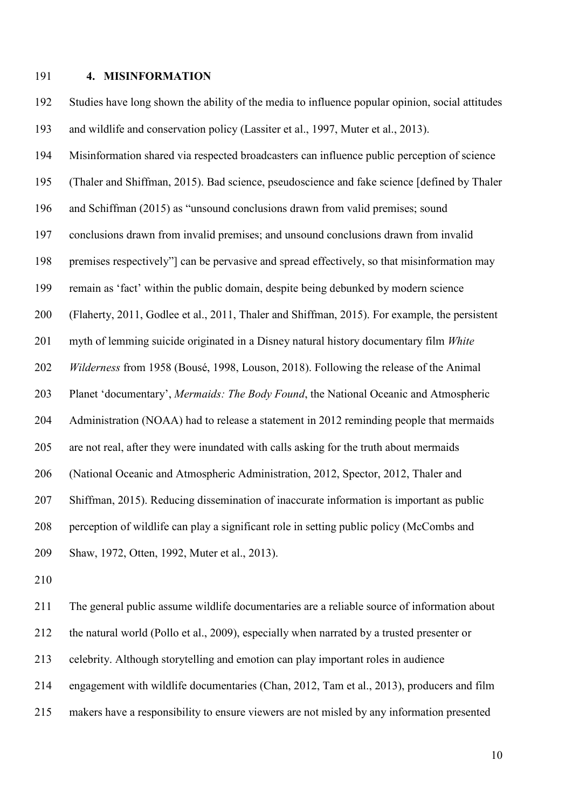#### **4. MISINFORMATION**

 Studies have long shown the ability of the media to influence popular opinion, social attitudes and wildlife and conservation policy (Lassiter et al., 1997, Muter et al., 2013). Misinformation shared via respected broadcasters can influence public perception of science (Thaler and Shiffman, 2015). Bad science, pseudoscience and fake science [defined by Thaler and Schiffman (2015) as "unsound conclusions drawn from valid premises; sound conclusions drawn from invalid premises; and unsound conclusions drawn from invalid premises respectively"] can be pervasive and spread effectively, so that misinformation may remain as 'fact' within the public domain, despite being debunked by modern science (Flaherty, 2011, Godlee et al., 2011, Thaler and Shiffman, 2015). For example, the persistent myth of lemming suicide originated in a Disney natural history documentary film *White Wilderness* from 1958 (Bousé, 1998, Louson, 2018). Following the release of the Animal Planet 'documentary', *Mermaids: The Body Found*, the National Oceanic and Atmospheric Administration (NOAA) had to release a statement in 2012 reminding people that mermaids are not real, after they were inundated with calls asking for the truth about mermaids (National Oceanic and Atmospheric Administration, 2012, Spector, 2012, Thaler and Shiffman, 2015). Reducing dissemination of inaccurate information is important as public perception of wildlife can play a significant role in setting public policy (McCombs and Shaw, 1972, Otten, 1992, Muter et al., 2013).

 The general public assume wildlife documentaries are a reliable source of information about the natural world (Pollo et al., 2009), especially when narrated by a trusted presenter or celebrity. Although storytelling and emotion can play important roles in audience engagement with wildlife documentaries (Chan, 2012, Tam et al., 2013), producers and film makers have a responsibility to ensure viewers are not misled by any information presented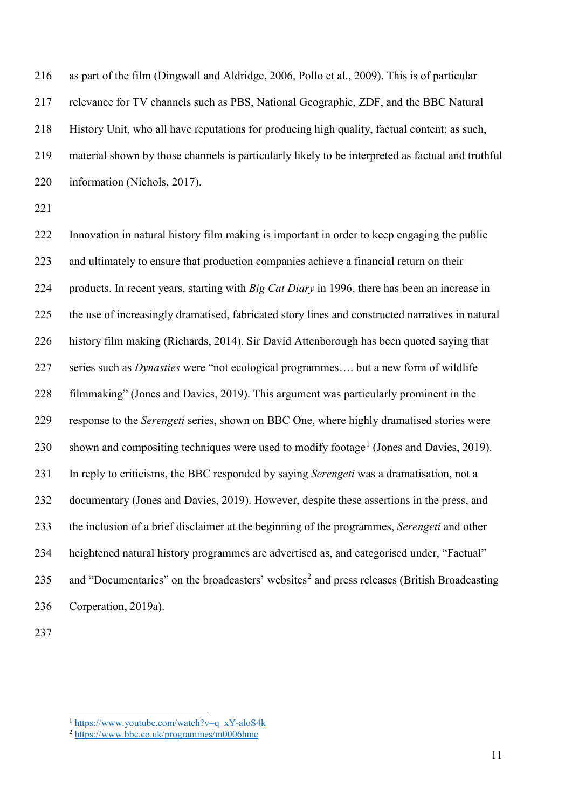as part of the film (Dingwall and Aldridge, 2006, Pollo et al., 2009). This is of particular relevance for TV channels such as PBS, National Geographic, ZDF, and the BBC Natural History Unit, who all have reputations for producing high quality, factual content; as such, material shown by those channels is particularly likely to be interpreted as factual and truthful information (Nichols, 2017).

 Innovation in natural history film making is important in order to keep engaging the public and ultimately to ensure that production companies achieve a financial return on their products. In recent years, starting with *Big Cat Diary* in 1996, there has been an increase in the use of increasingly dramatised, fabricated story lines and constructed narratives in natural history film making (Richards, 2014). Sir David Attenborough has been quoted saying that series such as *Dynasties* were "not ecological programmes…. but a new form of wildlife filmmaking" (Jones and Davies, 2019). This argument was particularly prominent in the response to the *Serengeti* series, shown on BBC One, where highly dramatised stories were 230 shown and compositing techniques were used to modify footage<sup>[1](#page-10-0)</sup> (Jones and Davies, 2019). In reply to criticisms, the BBC responded by saying *Serengeti* was a dramatisation, not a documentary (Jones and Davies, 2019). However, despite these assertions in the press, and the inclusion of a brief disclaimer at the beginning of the programmes, *Serengeti* and other heightened natural history programmes are advertised as, and categorised under, "Factual" 35 and "Documentaries" on the broadcasters' websites<sup>2</sup> and press releases (British Broadcasting Corperation, 2019a).

[https://www.youtube.com/watch?v=q\\_xY-aloS4k](https://www.youtube.com/watch?v=q_xY-aloS4k)

<span id="page-10-1"></span><span id="page-10-0"></span> $2 \frac{\text{https://www.youco.com water.}}{\text{https://www.bbc.co.uk/programmes/m0006hmc}}$  $2 \frac{\text{https://www.youco.com water.}}{\text{https://www.bbc.co.uk/programmes/m0006hmc}}$  $2 \frac{\text{https://www.youco.com water.}}{\text{https://www.bbc.co.uk/programmes/m0006hmc}}$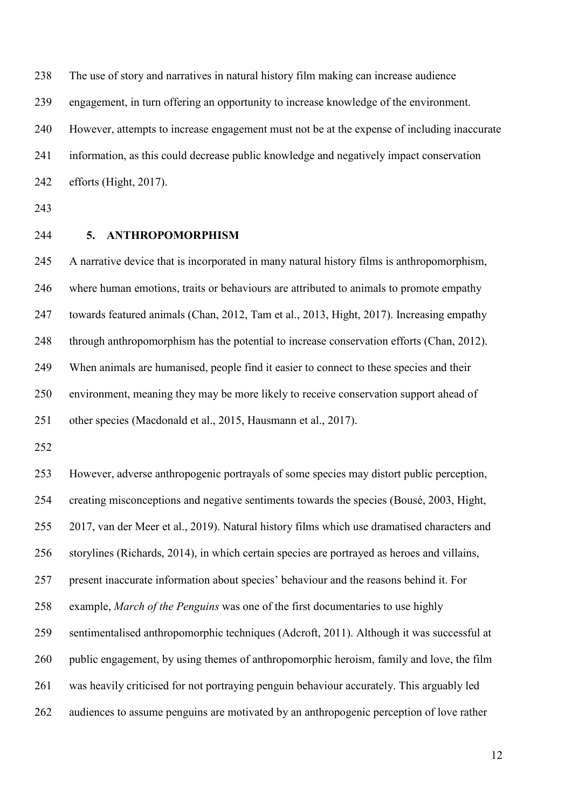The use of story and narratives in natural history film making can increase audience

engagement, in turn offering an opportunity to increase knowledge of the environment.

However, attempts to increase engagement must not be at the expense of including inaccurate

information, as this could decrease public knowledge and negatively impact conservation

efforts (Hight, 2017).

## **5. ANTHROPOMORPHISM**

 A narrative device that is incorporated in many natural history films is anthropomorphism, where human emotions, traits or behaviours are attributed to animals to promote empathy towards featured animals (Chan, 2012, Tam et al., 2013, Hight, 2017). Increasing empathy through anthropomorphism has the potential to increase conservation efforts (Chan, 2012). When animals are humanised, people find it easier to connect to these species and their environment, meaning they may be more likely to receive conservation support ahead of other species (Macdonald et al., 2015, Hausmann et al., 2017).

 However, adverse anthropogenic portrayals of some species may distort public perception, creating misconceptions and negative sentiments towards the species (Bousé, 2003, Hight, 2017, van der Meer et al., 2019). Natural history films which use dramatised characters and storylines (Richards, 2014), in which certain species are portrayed as heroes and villains, present inaccurate information about species' behaviour and the reasons behind it. For example, *March of the Penguins* was one of the first documentaries to use highly sentimentalised anthropomorphic techniques (Adcroft, 2011). Although it was successful at 260 public engagement, by using themes of anthropomorphic heroism, family and love, the film was heavily criticised for not portraying penguin behaviour accurately. This arguably led audiences to assume penguins are motivated by an anthropogenic perception of love rather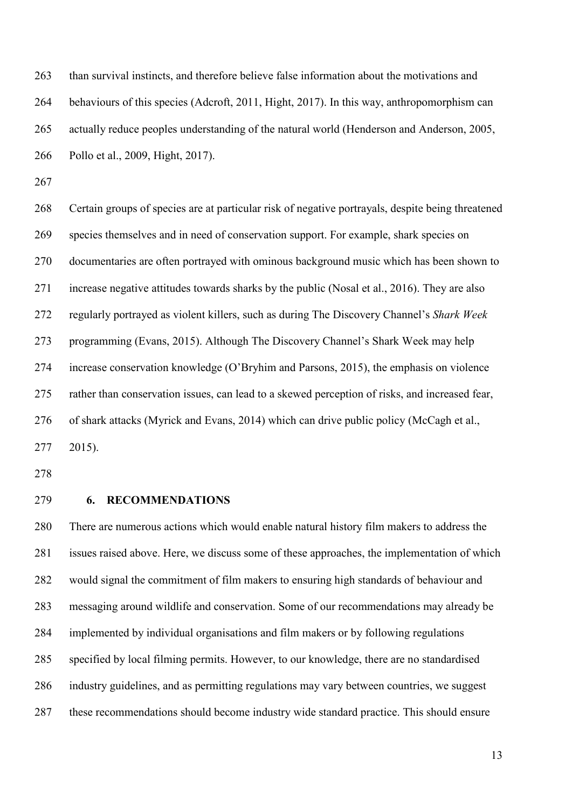than survival instincts, and therefore believe false information about the motivations and behaviours of this species (Adcroft, 2011, Hight, 2017). In this way, anthropomorphism can actually reduce peoples understanding of the natural world (Henderson and Anderson, 2005, Pollo et al., 2009, Hight, 2017).

 Certain groups of species are at particular risk of negative portrayals, despite being threatened species themselves and in need of conservation support. For example, shark species on documentaries are often portrayed with ominous background music which has been shown to increase negative attitudes towards sharks by the public (Nosal et al., 2016). They are also regularly portrayed as violent killers, such as during The Discovery Channel's *Shark Week* programming (Evans, 2015). Although The Discovery Channel's Shark Week may help increase conservation knowledge (O'Bryhim and Parsons, 2015), the emphasis on violence rather than conservation issues, can lead to a skewed perception of risks, and increased fear, of shark attacks (Myrick and Evans, 2014) which can drive public policy (McCagh et al., 2015).

## **6. RECOMMENDATIONS**

 There are numerous actions which would enable natural history film makers to address the issues raised above. Here, we discuss some of these approaches, the implementation of which would signal the commitment of film makers to ensuring high standards of behaviour and messaging around wildlife and conservation. Some of our recommendations may already be implemented by individual organisations and film makers or by following regulations specified by local filming permits. However, to our knowledge, there are no standardised industry guidelines, and as permitting regulations may vary between countries, we suggest these recommendations should become industry wide standard practice. This should ensure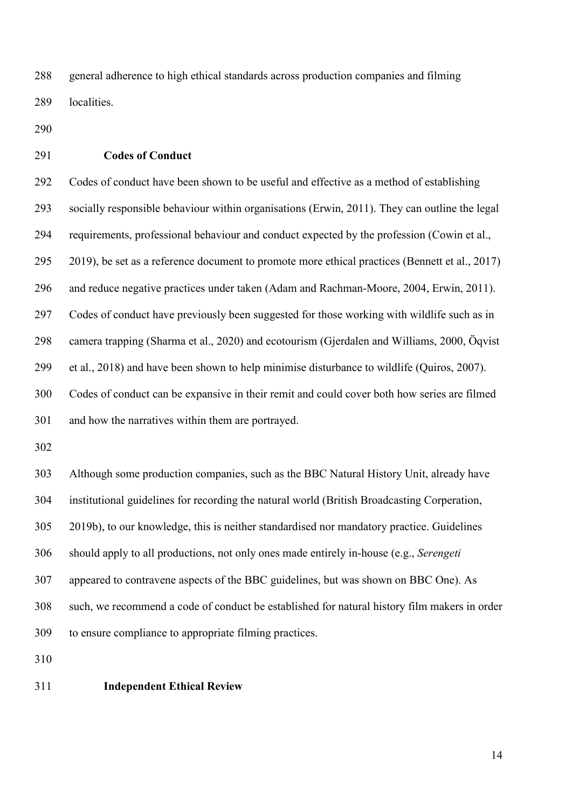general adherence to high ethical standards across production companies and filming localities.

- 
- **Codes of Conduct**

 Codes of conduct have been shown to be useful and effective as a method of establishing socially responsible behaviour within organisations (Erwin, 2011). They can outline the legal requirements, professional behaviour and conduct expected by the profession (Cowin et al., 2019), be set as a reference document to promote more ethical practices (Bennett et al., 2017) and reduce negative practices under taken (Adam and Rachman-Moore, 2004, Erwin, 2011). Codes of conduct have previously been suggested for those working with wildlife such as in camera trapping (Sharma et al., 2020) and ecotourism (Gjerdalen and Williams, 2000, Öqvist et al., 2018) and have been shown to help minimise disturbance to wildlife (Quiros, 2007). Codes of conduct can be expansive in their remit and could cover both how series are filmed and how the narratives within them are portrayed.

 Although some production companies, such as the BBC Natural History Unit, already have institutional guidelines for recording the natural world (British Broadcasting Corperation, 2019b), to our knowledge, this is neither standardised nor mandatory practice. Guidelines should apply to all productions, not only ones made entirely in-house (e.g., *Serengeti* appeared to contravene aspects of the BBC guidelines, but was shown on BBC One). As such, we recommend a code of conduct be established for natural history film makers in order to ensure compliance to appropriate filming practices.

### **Independent Ethical Review**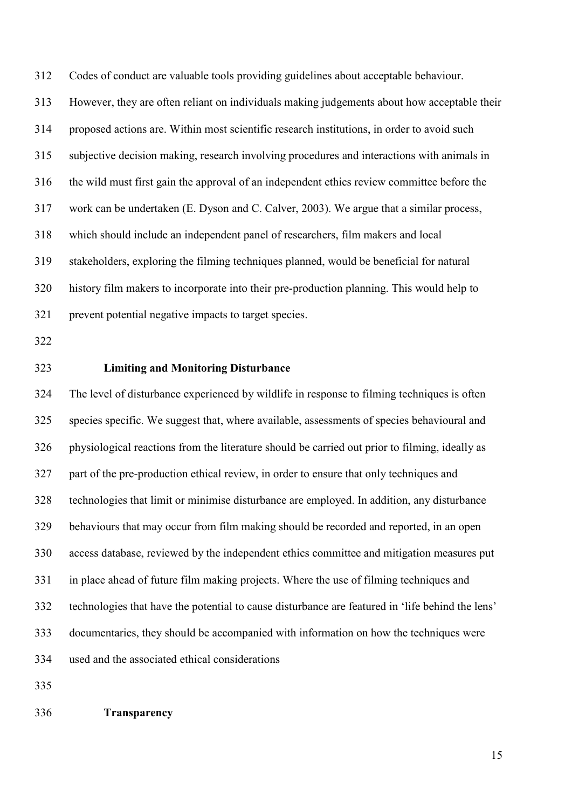Codes of conduct are valuable tools providing guidelines about acceptable behaviour. However, they are often reliant on individuals making judgements about how acceptable their proposed actions are. Within most scientific research institutions, in order to avoid such subjective decision making, research involving procedures and interactions with animals in the wild must first gain the approval of an independent ethics review committee before the work can be undertaken (E. Dyson and C. Calver, 2003). We argue that a similar process, which should include an independent panel of researchers, film makers and local stakeholders, exploring the filming techniques planned, would be beneficial for natural history film makers to incorporate into their pre-production planning. This would help to prevent potential negative impacts to target species.

## **Limiting and Monitoring Disturbance**

 The level of disturbance experienced by wildlife in response to filming techniques is often species specific. We suggest that, where available, assessments of species behavioural and physiological reactions from the literature should be carried out prior to filming, ideally as part of the pre-production ethical review, in order to ensure that only techniques and technologies that limit or minimise disturbance are employed. In addition, any disturbance behaviours that may occur from film making should be recorded and reported, in an open access database, reviewed by the independent ethics committee and mitigation measures put in place ahead of future film making projects. Where the use of filming techniques and technologies that have the potential to cause disturbance are featured in 'life behind the lens' documentaries, they should be accompanied with information on how the techniques were used and the associated ethical considerations

**Transparency**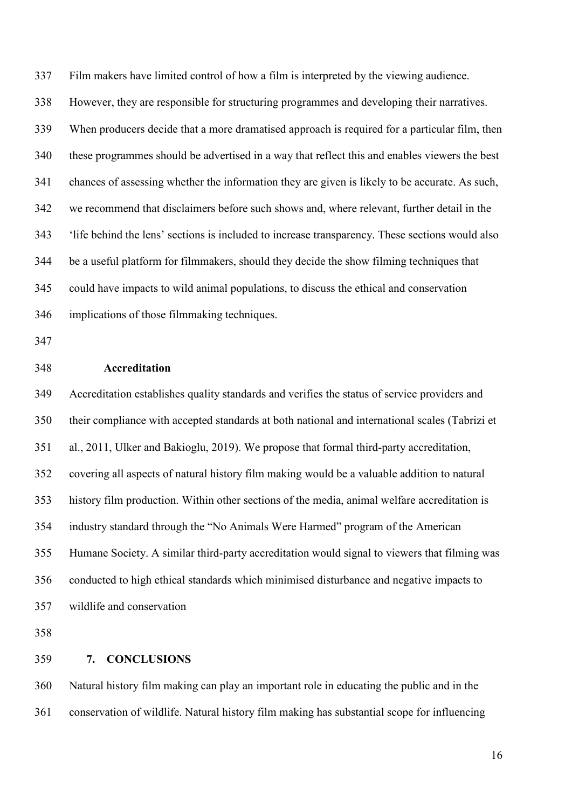Film makers have limited control of how a film is interpreted by the viewing audience. However, they are responsible for structuring programmes and developing their narratives. When producers decide that a more dramatised approach is required for a particular film, then these programmes should be advertised in a way that reflect this and enables viewers the best chances of assessing whether the information they are given is likely to be accurate. As such, we recommend that disclaimers before such shows and, where relevant, further detail in the 'life behind the lens' sections is included to increase transparency. These sections would also be a useful platform for filmmakers, should they decide the show filming techniques that could have impacts to wild animal populations, to discuss the ethical and conservation implications of those filmmaking techniques.

## **Accreditation**

 Accreditation establishes quality standards and verifies the status of service providers and their compliance with accepted standards at both national and international scales (Tabrizi et al., 2011, Ulker and Bakioglu, 2019). We propose that formal third-party accreditation, covering all aspects of natural history film making would be a valuable addition to natural history film production. Within other sections of the media, animal welfare accreditation is industry standard through the "No Animals Were Harmed" program of the American Humane Society. A similar third-party accreditation would signal to viewers that filming was conducted to high ethical standards which minimised disturbance and negative impacts to wildlife and conservation

**7. CONCLUSIONS**

 Natural history film making can play an important role in educating the public and in the conservation of wildlife. Natural history film making has substantial scope for influencing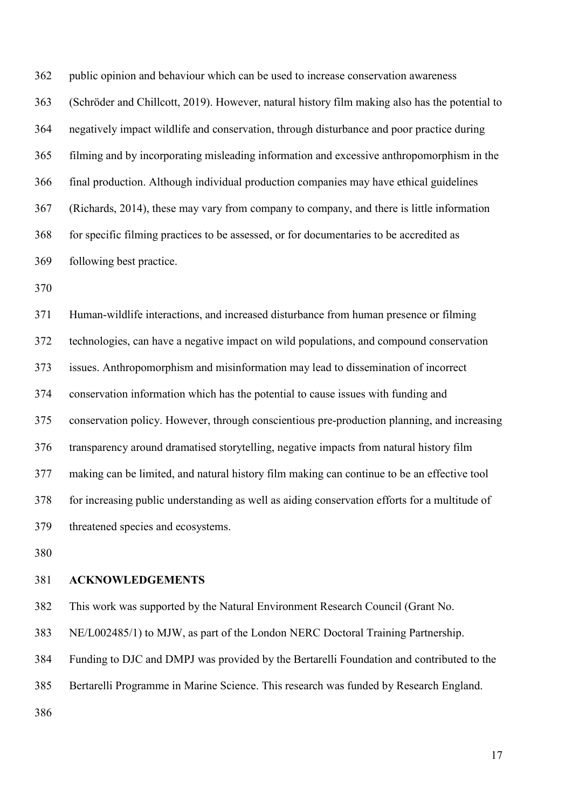public opinion and behaviour which can be used to increase conservation awareness (Schröder and Chillcott, 2019). However, natural history film making also has the potential to negatively impact wildlife and conservation, through disturbance and poor practice during filming and by incorporating misleading information and excessive anthropomorphism in the final production. Although individual production companies may have ethical guidelines (Richards, 2014), these may vary from company to company, and there is little information for specific filming practices to be assessed, or for documentaries to be accredited as following best practice.

 Human-wildlife interactions, and increased disturbance from human presence or filming technologies, can have a negative impact on wild populations, and compound conservation issues. Anthropomorphism and misinformation may lead to dissemination of incorrect conservation information which has the potential to cause issues with funding and conservation policy. However, through conscientious pre-production planning, and increasing transparency around dramatised storytelling, negative impacts from natural history film making can be limited, and natural history film making can continue to be an effective tool for increasing public understanding as well as aiding conservation efforts for a multitude of threatened species and ecosystems.

#### **ACKNOWLEDGEMENTS**

This work was supported by the Natural Environment Research Council (Grant No.

NE/L002485/1) to MJW, as part of the London NERC Doctoral Training Partnership.

Funding to DJC and DMPJ was provided by the Bertarelli Foundation and contributed to the

Bertarelli Programme in Marine Science. This research was funded by Research England.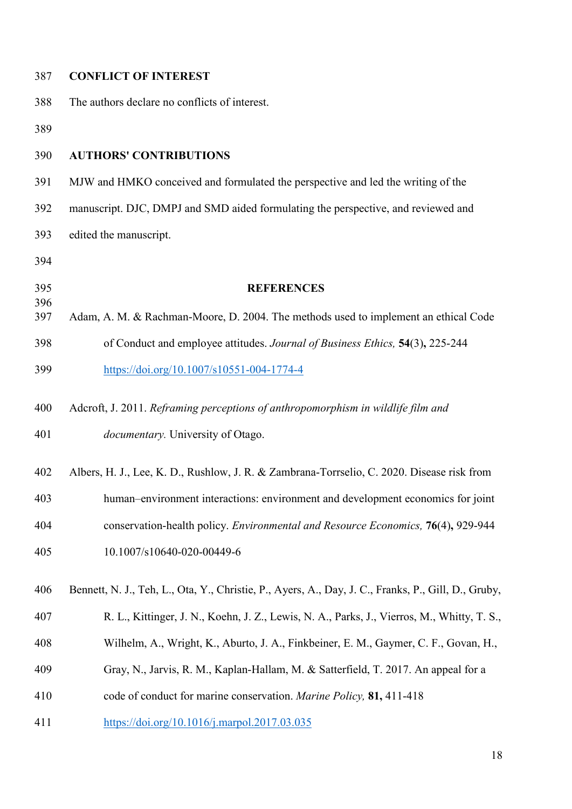| 387        | <b>CONFLICT OF INTEREST</b>                                                                         |
|------------|-----------------------------------------------------------------------------------------------------|
| 388        | The authors declare no conflicts of interest.                                                       |
| 389        |                                                                                                     |
| 390        | <b>AUTHORS' CONTRIBUTIONS</b>                                                                       |
| 391        | MJW and HMKO conceived and formulated the perspective and led the writing of the                    |
| 392        | manuscript. DJC, DMPJ and SMD aided formulating the perspective, and reviewed and                   |
| 393        | edited the manuscript.                                                                              |
| 394        |                                                                                                     |
| 395        | <b>REFERENCES</b>                                                                                   |
| 396<br>397 | Adam, A. M. & Rachman-Moore, D. 2004. The methods used to implement an ethical Code                 |
| 398        | of Conduct and employee attitudes. Journal of Business Ethics, 54(3), 225-244                       |
| 399        | https://doi.org/10.1007/s10551-004-1774-4                                                           |
| 400        | Adcroft, J. 2011. Reframing perceptions of anthropomorphism in wildlife film and                    |
| 401        | <i>documentary</i> . University of Otago.                                                           |
| 402        | Albers, H. J., Lee, K. D., Rushlow, J. R. & Zambrana-Torrselio, C. 2020. Disease risk from          |
| 403        | human-environment interactions: environment and development economics for joint                     |
| 404        | conservation-health policy. Environmental and Resource Economics, 76(4), 929-944                    |
| 405        | 10.1007/s10640-020-00449-6                                                                          |
| 406        | Bennett, N. J., Teh, L., Ota, Y., Christie, P., Ayers, A., Day, J. C., Franks, P., Gill, D., Gruby, |
| 407        | R. L., Kittinger, J. N., Koehn, J. Z., Lewis, N. A., Parks, J., Vierros, M., Whitty, T. S.,         |
| 408        | Wilhelm, A., Wright, K., Aburto, J. A., Finkbeiner, E. M., Gaymer, C. F., Govan, H.,                |
| 409        | Gray, N., Jarvis, R. M., Kaplan-Hallam, M. & Satterfield, T. 2017. An appeal for a                  |
| 410        | code of conduct for marine conservation. Marine Policy, 81, 411-418                                 |
| 411        | https://doi.org/10.1016/j.marpol.2017.03.035                                                        |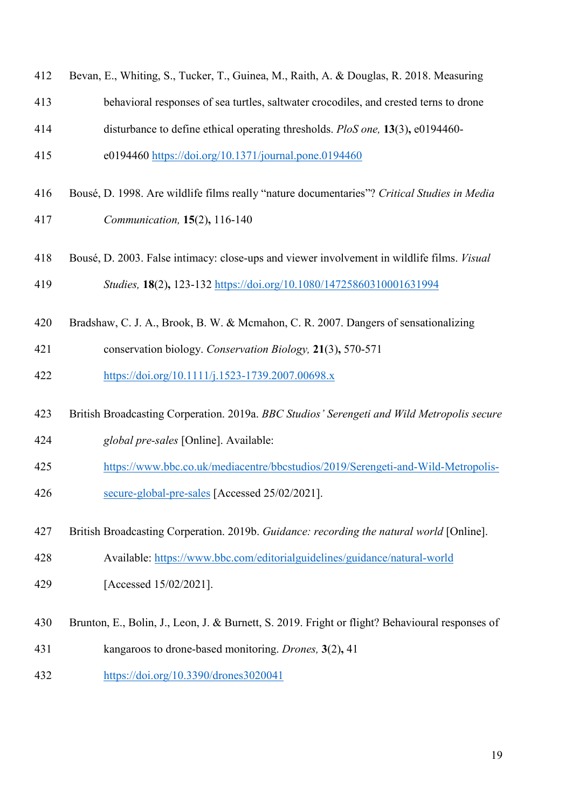| 412 | Bevan, E., Whiting, S., Tucker, T., Guinea, M., Raith, A. & Douglas, R. 2018. Measuring         |
|-----|-------------------------------------------------------------------------------------------------|
| 413 | behavioral responses of sea turtles, saltwater crocodiles, and crested terns to drone           |
| 414 | disturbance to define ethical operating thresholds. PloS one, 13(3), e0194460-                  |
| 415 | e0194460 https://doi.org/10.1371/journal.pone.0194460                                           |
| 416 | Bousé, D. 1998. Are wildlife films really "nature documentaries"? Critical Studies in Media     |
| 417 | Communication, 15(2), 116-140                                                                   |
| 418 | Bousé, D. 2003. False intimacy: close-ups and viewer involvement in wildlife films. Visual      |
| 419 | Studies, 18(2), 123-132 https://doi.org/10.1080/14725860310001631994                            |
| 420 | Bradshaw, C. J. A., Brook, B. W. & Mcmahon, C. R. 2007. Dangers of sensationalizing             |
| 421 | conservation biology. Conservation Biology, 21(3), 570-571                                      |
| 422 | https://doi.org/10.1111/j.1523-1739.2007.00698.x                                                |
| 423 | British Broadcasting Corperation. 2019a. BBC Studios' Serengeti and Wild Metropolis secure      |
| 424 | global pre-sales [Online]. Available:                                                           |
| 425 | https://www.bbc.co.uk/mediacentre/bbcstudios/2019/Serengeti-and-Wild-Metropolis-                |
| 426 | secure-global-pre-sales [Accessed 25/02/2021].                                                  |
| 427 | British Broadcasting Corperation. 2019b. Guidance: recording the natural world [Online].        |
| 428 | Available: https://www.bbc.com/editorialguidelines/guidance/natural-world                       |
| 429 | [Accessed 15/02/2021].                                                                          |
| 430 | Brunton, E., Bolin, J., Leon, J. & Burnett, S. 2019. Fright or flight? Behavioural responses of |
| 431 | kangaroos to drone-based monitoring. Drones, 3(2), 41                                           |
| 432 | https://doi.org/10.3390/drones3020041                                                           |
|     |                                                                                                 |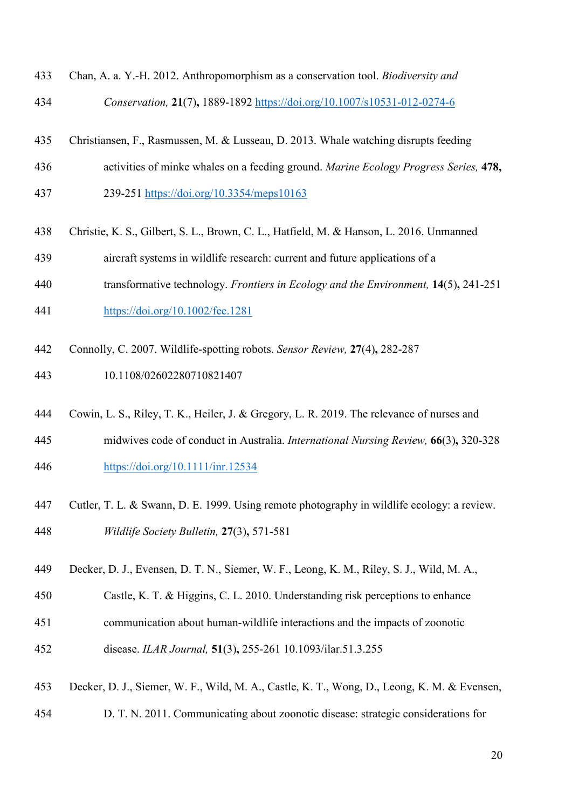- Chan, A. a. Y.-H. 2012. Anthropomorphism as a conservation tool. *Biodiversity and Conservation,* **21**(7)**,** 1889-1892<https://doi.org/10.1007/s10531-012-0274-6>
- Christiansen, F., Rasmussen, M. & Lusseau, D. 2013. Whale watching disrupts feeding
- activities of minke whales on a feeding ground. *Marine Ecology Progress Series,* **478,**
- 239-251<https://doi.org/10.3354/meps10163>
- Christie, K. S., Gilbert, S. L., Brown, C. L., Hatfield, M. & Hanson, L. 2016. Unmanned
- aircraft systems in wildlife research: current and future applications of a
- transformative technology. *Frontiers in Ecology and the Environment,* **14**(5)**,** 241-251
- <https://doi.org/10.1002/fee.1281>
- Connolly, C. 2007. Wildlife‐spotting robots. *Sensor Review,* **27**(4)**,** 282-287
- 10.1108/02602280710821407
- Cowin, L. S., Riley, T. K., Heiler, J. & Gregory, L. R. 2019. The relevance of nurses and
- midwives code of conduct in Australia. *International Nursing Review,* **66**(3)**,** 320-328 <https://doi.org/10.1111/inr.12534>
- Cutler, T. L. & Swann, D. E. 1999. Using remote photography in wildlife ecology: a review. *Wildlife Society Bulletin,* **27**(3)**,** 571-581
- Decker, D. J., Evensen, D. T. N., Siemer, W. F., Leong, K. M., Riley, S. J., Wild, M. A.,
- Castle, K. T. & Higgins, C. L. 2010. Understanding risk perceptions to enhance
- communication about human-wildlife interactions and the impacts of zoonotic disease. *ILAR Journal,* **51**(3)**,** 255-261 10.1093/ilar.51.3.255
- Decker, D. J., Siemer, W. F., Wild, M. A., Castle, K. T., Wong, D., Leong, K. M. & Evensen,
- D. T. N. 2011. Communicating about zoonotic disease: strategic considerations for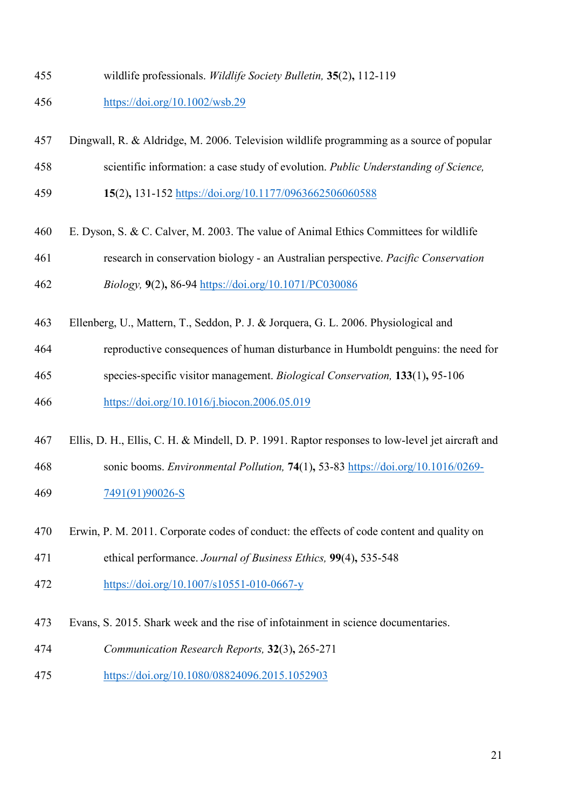wildlife professionals. *Wildlife Society Bulletin,* **35**(2)**,** 112-119

## <https://doi.org/10.1002/wsb.29>

- Dingwall, R. & Aldridge, M. 2006. Television wildlife programming as a source of popular
- scientific information: a case study of evolution. *Public Understanding of Science,*
- **15**(2)**,** 131-152<https://doi.org/10.1177/0963662506060588>
- E. Dyson, S. & C. Calver, M. 2003. The value of Animal Ethics Committees for wildlife research in conservation biology - an Australian perspective. *Pacific Conservation Biology,* **9**(2)**,** 86-94<https://doi.org/10.1071/PC030086>
- Ellenberg, U., Mattern, T., Seddon, P. J. & Jorquera, G. L. 2006. Physiological and
- reproductive consequences of human disturbance in Humboldt penguins: the need for
- species-specific visitor management. *Biological Conservation,* **133**(1)**,** 95-106
- <https://doi.org/10.1016/j.biocon.2006.05.019>
- Ellis, D. H., Ellis, C. H. & Mindell, D. P. 1991. Raptor responses to low-level jet aircraft and
- sonic booms. *Environmental Pollution,* **74**(1)**,** 53-83 [https://doi.org/10.1016/0269-](https://doi.org/10.1016/0269-7491(91)90026-S) [7491\(91\)90026-S](https://doi.org/10.1016/0269-7491(91)90026-S)
- Erwin, P. M. 2011. Corporate codes of conduct: the effects of code content and quality on
- ethical performance. *Journal of Business Ethics,* **99**(4)**,** 535-548
- <https://doi.org/10.1007/s10551-010-0667-y>
- Evans, S. 2015. Shark week and the rise of infotainment in science documentaries.
- *Communication Research Reports,* **32**(3)**,** 265-271
- <https://doi.org/10.1080/08824096.2015.1052903>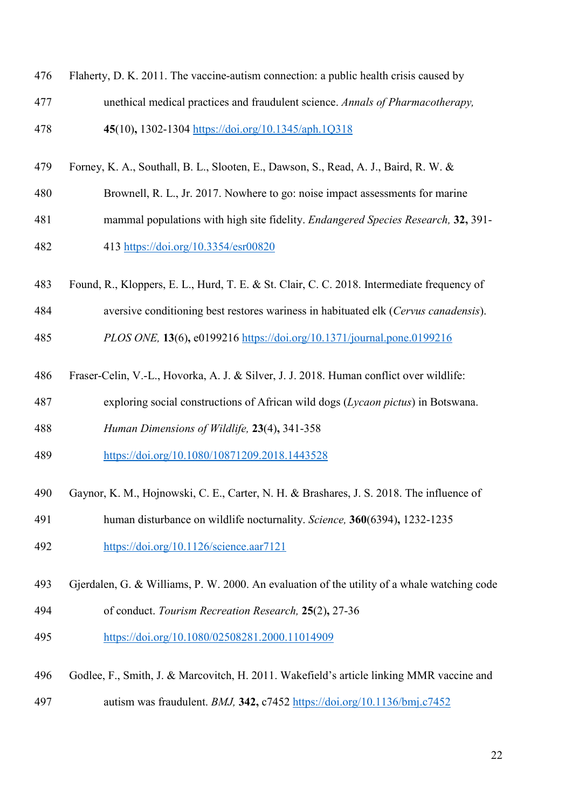- Flaherty, D. K. 2011. The vaccine-autism connection: a public health crisis caused by unethical medical practices and fraudulent science. *Annals of Pharmacotherapy,* **45**(10)**,** 1302-1304<https://doi.org/10.1345/aph.1Q318>
- Forney, K. A., Southall, B. L., Slooten, E., Dawson, S., Read, A. J., Baird, R. W. &
- Brownell, R. L., Jr. 2017. Nowhere to go: noise impact assessments for marine
- mammal populations with high site fidelity. *Endangered Species Research,* **32,** 391- 413<https://doi.org/10.3354/esr00820>
- Found, R., Kloppers, E. L., Hurd, T. E. & St. Clair, C. C. 2018. Intermediate frequency of
- aversive conditioning best restores wariness in habituated elk (*Cervus canadensis*).
- *PLOS ONE,* **13**(6)**,** e0199216<https://doi.org/10.1371/journal.pone.0199216>
- Fraser-Celin, V.-L., Hovorka, A. J. & Silver, J. J. 2018. Human conflict over wildlife:
- exploring social constructions of African wild dogs (*Lycaon pictus*) in Botswana.
- *Human Dimensions of Wildlife,* **23**(4)**,** 341-358
- <https://doi.org/10.1080/10871209.2018.1443528>
- Gaynor, K. M., Hojnowski, C. E., Carter, N. H. & Brashares, J. S. 2018. The influence of
- human disturbance on wildlife nocturnality. *Science,* **360**(6394)**,** 1232-1235
- <https://doi.org/10.1126/science.aar7121>
- Gjerdalen, G. & Williams, P. W. 2000. An evaluation of the utility of a whale watching code
- of conduct. *Tourism Recreation Research,* **25**(2)**,** 27-36
- <https://doi.org/10.1080/02508281.2000.11014909>
- Godlee, F., Smith, J. & Marcovitch, H. 2011. Wakefield's article linking MMR vaccine and autism was fraudulent. *BMJ,* **342,** c7452<https://doi.org/10.1136/bmj.c7452>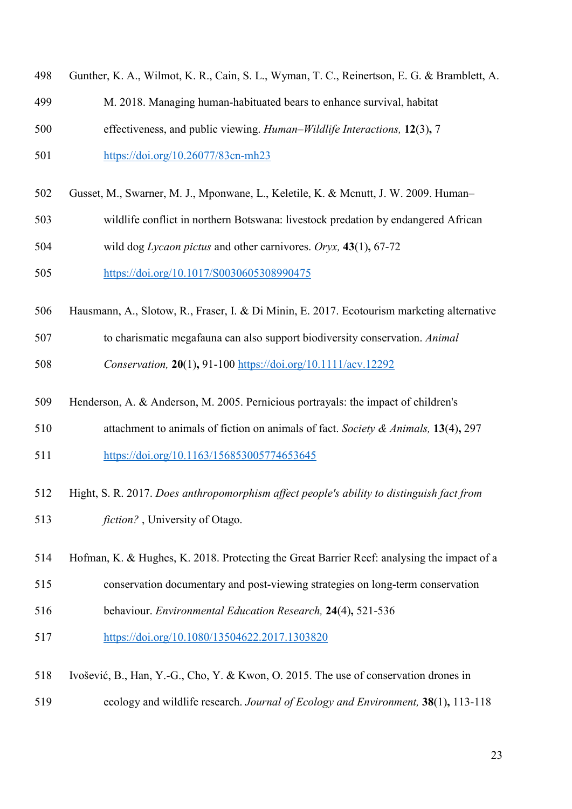| 498 | Gunther, K. A., Wilmot, K. R., Cain, S. L., Wyman, T. C., Reinertson, E. G. & Bramblett, A. |
|-----|---------------------------------------------------------------------------------------------|
| 499 | M. 2018. Managing human-habituated bears to enhance survival, habitat                       |
| 500 | effectiveness, and public viewing. Human–Wildlife Interactions, 12(3), 7                    |
| 501 | https://doi.org/10.26077/83cn-mh23                                                          |
| 502 | Gusset, M., Swarner, M. J., Mponwane, L., Keletile, K. & Mcnutt, J. W. 2009. Human-         |
| 503 | wildlife conflict in northern Botswana: livestock predation by endangered African           |
| 504 | wild dog Lycaon pictus and other carnivores. Oryx, $43(1)$ , 67-72                          |
| 505 | https://doi.org/10.1017/S0030605308990475                                                   |
| 506 | Hausmann, A., Slotow, R., Fraser, I. & Di Minin, E. 2017. Ecotourism marketing alternative  |
| 507 | to charismatic megafauna can also support biodiversity conservation. Animal                 |
| 508 | Conservation, 20(1), 91-100 https://doi.org/10.1111/acv.12292                               |
| 509 | Henderson, A. & Anderson, M. 2005. Pernicious portrayals: the impact of children's          |
| 510 | attachment to animals of fiction on animals of fact. Society & Animals, $13(4)$ , 297       |
| 511 | https://doi.org/10.1163/156853005774653645                                                  |
| 512 | Hight, S. R. 2017. Does anthropomorphism affect people's ability to distinguish fact from   |
| 513 | <i>fiction?</i> , University of Otago.                                                      |
| 514 | Hofman, K. & Hughes, K. 2018. Protecting the Great Barrier Reef: analysing the impact of a  |
| 515 | conservation documentary and post-viewing strategies on long-term conservation              |
| 516 | behaviour. Environmental Education Research, 24(4), 521-536                                 |
| 517 | https://doi.org/10.1080/13504622.2017.1303820                                               |
| 518 | Ivošević, B., Han, Y.-G., Cho, Y. & Kwon, O. 2015. The use of conservation drones in        |
| 519 | ecology and wildlife research. Journal of Ecology and Environment, 38(1), 113-118           |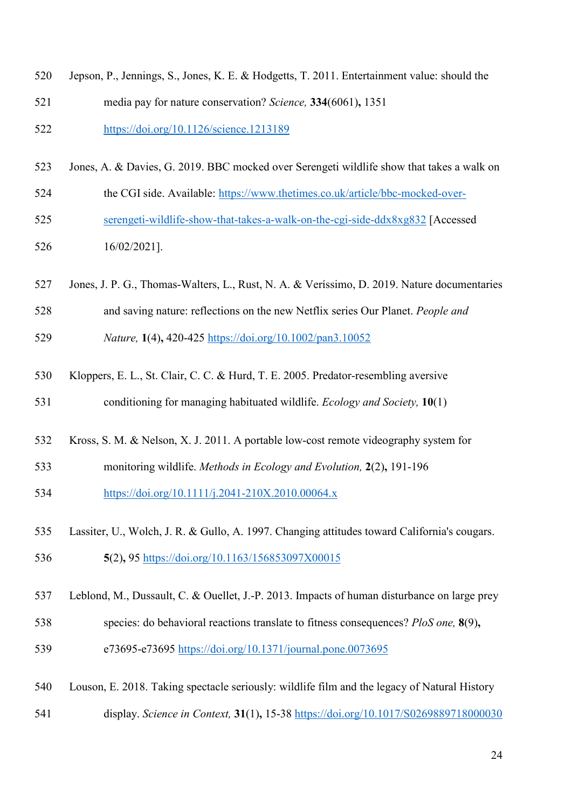| 520 | Jepson, P., Jennings, S., Jones, K. E. & Hodgetts, T. 2011. Entertainment value: should the  |
|-----|----------------------------------------------------------------------------------------------|
| 521 | media pay for nature conservation? Science, 334(6061), 1351                                  |
| 522 | https://doi.org/10.1126/science.1213189                                                      |
| 523 | Jones, A. & Davies, G. 2019. BBC mocked over Serengeti wildlife show that takes a walk on    |
| 524 | the CGI side. Available: https://www.thetimes.co.uk/article/bbc-mocked-over-                 |
| 525 | serengeti-wildlife-show-that-takes-a-walk-on-the-cgi-side-ddx8xg832 [Accessed]               |
| 526 | $16/02/2021$ ].                                                                              |
| 527 | Jones, J. P. G., Thomas-Walters, L., Rust, N. A. & Veríssimo, D. 2019. Nature documentaries  |
| 528 | and saving nature: reflections on the new Netflix series Our Planet. People and              |
| 529 | Nature, 1(4), 420-425 https://doi.org/10.1002/pan3.10052                                     |
| 530 | Kloppers, E. L., St. Clair, C. C. & Hurd, T. E. 2005. Predator-resembling aversive           |
| 531 | conditioning for managing habituated wildlife. Ecology and Society, 10(1)                    |
| 532 | Kross, S. M. & Nelson, X. J. 2011. A portable low-cost remote videography system for         |
| 533 | monitoring wildlife. Methods in Ecology and Evolution, 2(2), 191-196                         |
| 534 | https://doi.org/10.1111/j.2041-210X.2010.00064.x                                             |
| 535 | Lassiter, U., Wolch, J. R. & Gullo, A. 1997. Changing attitudes toward California's cougars. |
| 536 | 5(2), 95 https://doi.org/10.1163/156853097X00015                                             |
| 537 | Leblond, M., Dussault, C. & Ouellet, J.-P. 2013. Impacts of human disturbance on large prey  |
| 538 | species: do behavioral reactions translate to fitness consequences? PloS one, 8(9),          |
| 539 | e73695-e73695 https://doi.org/10.1371/journal.pone.0073695                                   |
| 540 | Louson, E. 2018. Taking spectacle seriously: wildlife film and the legacy of Natural History |
| 541 | display. Science in Context, 31(1), 15-38 https://doi.org/10.1017/S0269889718000030          |
|     | 24                                                                                           |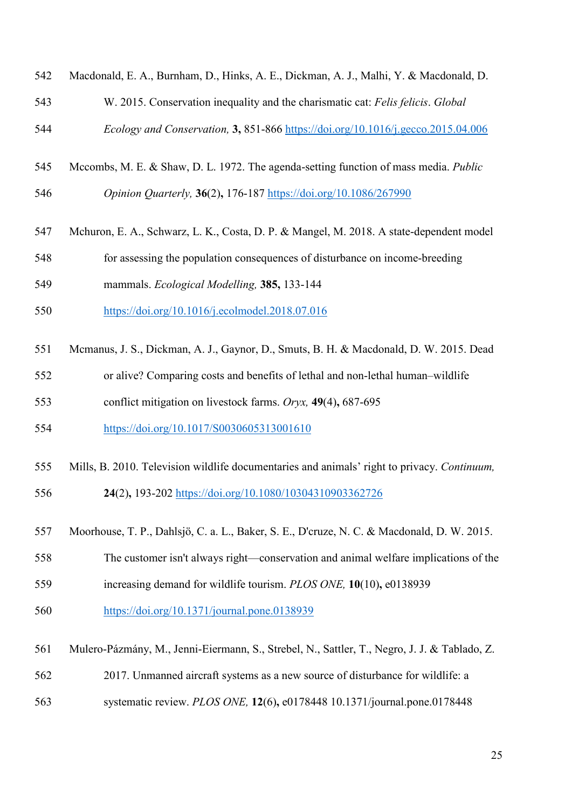| 542 | Macdonald, E. A., Burnham, D., Hinks, A. E., Dickman, A. J., Malhi, Y. & Macdonald, D.              |
|-----|-----------------------------------------------------------------------------------------------------|
| 543 | W. 2015. Conservation inequality and the charismatic cat: Felis felicis. Global                     |
| 544 | Ecology and Conservation, 3, 851-866 https://doi.org/10.1016/j.gecco.2015.04.006                    |
| 545 | Mccombs, M. E. & Shaw, D. L. 1972. The agenda-setting function of mass media. <i>Public</i>         |
| 546 | Opinion Quarterly, 36(2), 176-187 https://doi.org/10.1086/267990                                    |
| 547 | Mchuron, E. A., Schwarz, L. K., Costa, D. P. & Mangel, M. 2018. A state-dependent model             |
| 548 | for assessing the population consequences of disturbance on income-breeding                         |
| 549 | mammals. Ecological Modelling, 385, 133-144                                                         |
| 550 | https://doi.org/10.1016/j.ecolmodel.2018.07.016                                                     |
| 551 | Mcmanus, J. S., Dickman, A. J., Gaynor, D., Smuts, B. H. & Macdonald, D. W. 2015. Dead              |
| 552 | or alive? Comparing costs and benefits of lethal and non-lethal human-wildlife                      |
| 553 | conflict mitigation on livestock farms. Oryx, 49(4), 687-695                                        |
| 554 | https://doi.org/10.1017/S0030605313001610                                                           |
| 555 | Mills, B. 2010. Television wildlife documentaries and animals' right to privacy. Continuum,         |
| 556 | 24(2), 193-202 https://doi.org/10.1080/10304310903362726                                            |
| 557 | Moorhouse, T. P., Dahlsjö, C. a. L., Baker, S. E., D'cruze, N. C. & Macdonald, D. W. 2015.          |
| 558 | The customer isn't always right—conservation and animal welfare implications of the                 |
| 559 | increasing demand for wildlife tourism. PLOS ONE, 10(10), e0138939                                  |
| 560 | $\frac{https://doi.org/10.1371/journal.pone.0138939}{https://doi.org/10.1371/journal.pone.0138939}$ |
| 561 | Mulero-Pázmány, M., Jenni-Eiermann, S., Strebel, N., Sattler, T., Negro, J. J. & Tablado, Z.        |
| 562 | 2017. Unmanned aircraft systems as a new source of disturbance for wildlife: a                      |
| 563 | systematic review. PLOS ONE, 12(6), e0178448 10.1371/journal.pone.0178448                           |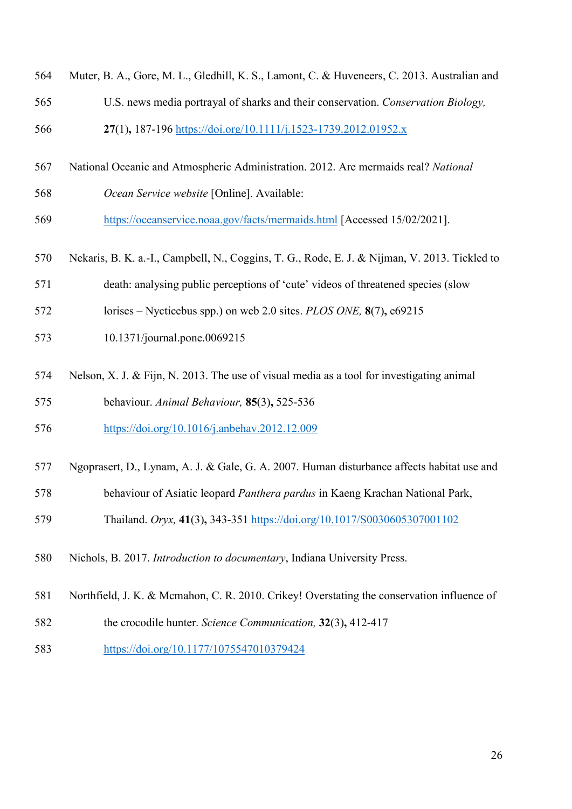| 564 | Muter, B. A., Gore, M. L., Gledhill, K. S., Lamont, C. & Huveneers, C. 2013. Australian and   |
|-----|-----------------------------------------------------------------------------------------------|
| 565 | U.S. news media portrayal of sharks and their conservation. Conservation Biology,             |
| 566 | 27(1), 187-196 https://doi.org/10.1111/j.1523-1739.2012.01952.x                               |
| 567 | National Oceanic and Atmospheric Administration. 2012. Are mermaids real? National            |
| 568 | Ocean Service website [Online]. Available:                                                    |
| 569 | https://oceanservice.noaa.gov/facts/mermaids.html [Accessed 15/02/2021].                      |
| 570 | Nekaris, B. K. a.-I., Campbell, N., Coggins, T. G., Rode, E. J. & Nijman, V. 2013. Tickled to |
| 571 | death: analysing public perceptions of 'cute' videos of threatened species (slow              |
| 572 | lorises – Nycticebus spp.) on web 2.0 sites. PLOS ONE, $8(7)$ , e69215                        |
| 573 | 10.1371/journal.pone.0069215                                                                  |
| 574 | Nelson, X. J. & Fijn, N. 2013. The use of visual media as a tool for investigating animal     |
| 575 | behaviour. Animal Behaviour, 85(3), 525-536                                                   |
| 576 | https://doi.org/10.1016/j.anbehav.2012.12.009                                                 |
| 577 | Ngoprasert, D., Lynam, A. J. & Gale, G. A. 2007. Human disturbance affects habitat use and    |
| 578 | behaviour of Asiatic leopard Panthera pardus in Kaeng Krachan National Park,                  |
| 579 | Thailand. Oryx, 41(3), 343-351 https://doi.org/10.1017/S0030605307001102                      |
| 580 | Nichols, B. 2017. Introduction to documentary, Indiana University Press.                      |
| 581 | Northfield, J. K. & Mcmahon, C. R. 2010. Crikey! Overstating the conservation influence of    |
| 582 | the crocodile hunter. Science Communication, 32(3), 412-417                                   |
| 583 | https://doi.org/10.1177/1075547010379424                                                      |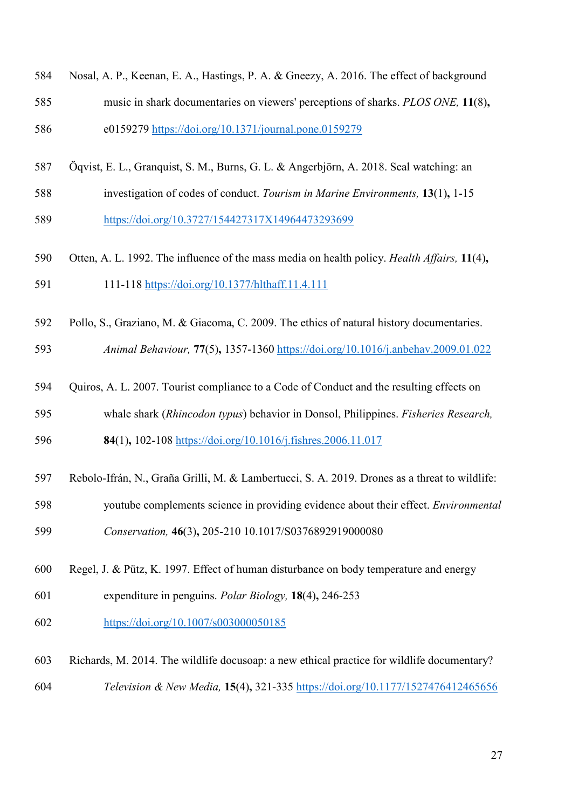| 584 | Nosal, A. P., Keenan, E. A., Hastings, P. A. & Gneezy, A. 2016. The effect of background |
|-----|------------------------------------------------------------------------------------------|
| 585 | music in shark documentaries on viewers' perceptions of sharks. PLOS ONE, 11(8),         |
| 586 | e0159279 https://doi.org/10.1371/journal.pone.0159279                                    |

- Öqvist, E. L., Granquist, S. M., Burns, G. L. & Angerbjörn, A. 2018. Seal watching: an
- investigation of codes of conduct. *Tourism in Marine Environments,* **13**(1)**,** 1-15 <https://doi.org/10.3727/154427317X14964473293699>
- Otten, A. L. 1992. The influence of the mass media on health policy. *Health Affairs,* **11**(4)**,** 111-118<https://doi.org/10.1377/hlthaff.11.4.111>
- Pollo, S., Graziano, M. & Giacoma, C. 2009. The ethics of natural history documentaries.
- *Animal Behaviour,* **77**(5)**,** 1357-1360<https://doi.org/10.1016/j.anbehav.2009.01.022>
- Quiros, A. L. 2007. Tourist compliance to a Code of Conduct and the resulting effects on
- whale shark (*Rhincodon typus*) behavior in Donsol, Philippines. *Fisheries Research,*
- **84**(1)**,** 102-108<https://doi.org/10.1016/j.fishres.2006.11.017>
- Rebolo-Ifrán, N., Graña Grilli, M. & Lambertucci, S. A. 2019. Drones as a threat to wildlife:
- youtube complements science in providing evidence about their effect. *Environmental*
- *Conservation,* **46**(3)**,** 205-210 10.1017/S0376892919000080
- Regel, J. & Pütz, K. 1997. Effect of human disturbance on body temperature and energy
- expenditure in penguins. *Polar Biology,* **18**(4)**,** 246-253
- <https://doi.org/10.1007/s003000050185>
- Richards, M. 2014. The wildlife docusoap: a new ethical practice for wildlife documentary? *Television & New Media,* **15**(4)**,** 321-335<https://doi.org/10.1177/1527476412465656>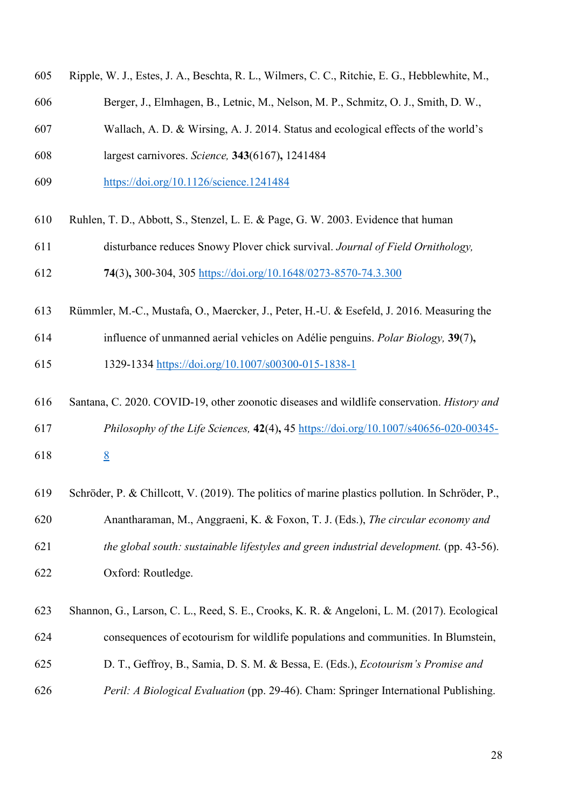- Ripple, W. J., Estes, J. A., Beschta, R. L., Wilmers, C. C., Ritchie, E. G., Hebblewhite, M.,
- Berger, J., Elmhagen, B., Letnic, M., Nelson, M. P., Schmitz, O. J., Smith, D. W.,
- Wallach, A. D. & Wirsing, A. J. 2014. Status and ecological effects of the world's
- largest carnivores. *Science,* **343**(6167)**,** 1241484
- <https://doi.org/10.1126/science.1241484>
- Ruhlen, T. D., Abbott, S., Stenzel, L. E. & Page, G. W. 2003. Evidence that human
- disturbance reduces Snowy Plover chick survival. *Journal of Field Ornithology,*
- **74**(3)**,** 300-304, 305<https://doi.org/10.1648/0273-8570-74.3.300>
- Rümmler, M.-C., Mustafa, O., Maercker, J., Peter, H.-U. & Esefeld, J. 2016. Measuring the
- influence of unmanned aerial vehicles on Adélie penguins. *Polar Biology,* **39**(7)**,**

1329-1334<https://doi.org/10.1007/s00300-015-1838-1>

- Santana, C. 2020. COVID-19, other zoonotic diseases and wildlife conservation. *History and Philosophy of the Life Sciences,* **42**(4)**,** 45 [https://doi.org/10.1007/s40656-020-00345-](https://doi.org/10.1007/s40656-020-00345-8)
- [8](https://doi.org/10.1007/s40656-020-00345-8) <u>8</u>
- Schröder, P. & Chillcott, V. (2019). The politics of marine plastics pollution. In Schröder, P., Anantharaman, M., Anggraeni, K. & Foxon, T. J. (Eds.), *The circular economy and the global south: sustainable lifestyles and green industrial development.* (pp. 43-56). Oxford: Routledge.
- Shannon, G., Larson, C. L., Reed, S. E., Crooks, K. R. & Angeloni, L. M. (2017). Ecological consequences of ecotourism for wildlife populations and communities. In Blumstein, D. T., Geffroy, B., Samia, D. S. M. & Bessa, E. (Eds.), *Ecotourism's Promise and*
- *Peril: A Biological Evaluation* (pp. 29-46). Cham: Springer International Publishing.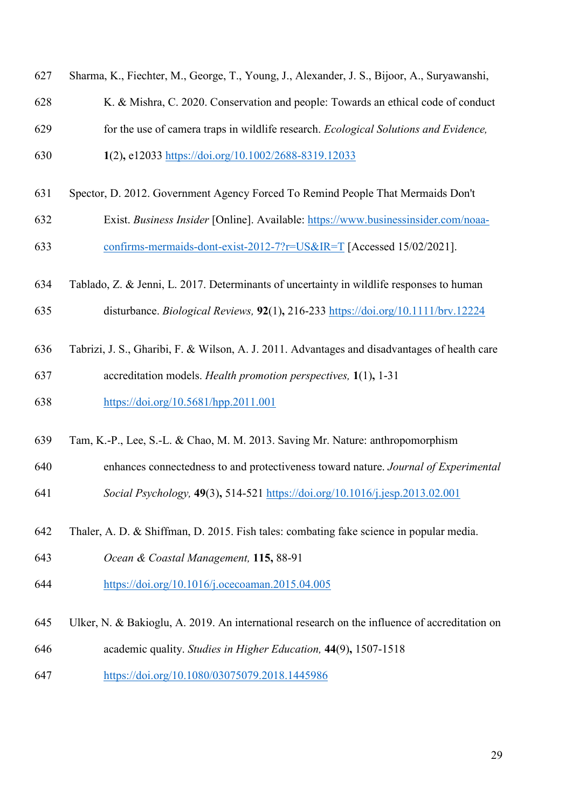- Sharma, K., Fiechter, M., George, T., Young, J., Alexander, J. S., Bijoor, A., Suryawanshi,
- K. & Mishra, C. 2020. Conservation and people: Towards an ethical code of conduct
- for the use of camera traps in wildlife research. *Ecological Solutions and Evidence,*
- **1**(2)**,** e12033<https://doi.org/10.1002/2688-8319.12033>
- Spector, D. 2012. Government Agency Forced To Remind People That Mermaids Don't
- Exist. *Business Insider* [Online]. Available: [https://www.businessinsider.com/noaa-](https://www.businessinsider.com/noaa-confirms-mermaids-dont-exist-2012-7?r=US&IR=T)[confirms-mermaids-dont-exist-2012-7?r=US&IR=T](https://www.businessinsider.com/noaa-confirms-mermaids-dont-exist-2012-7?r=US&IR=T) [Accessed 15/02/2021].
- Tablado, Z. & Jenni, L. 2017. Determinants of uncertainty in wildlife responses to human
- disturbance. *Biological Reviews,* **92**(1)**,** 216-233<https://doi.org/10.1111/brv.12224>
- Tabrizi, J. S., Gharibi, F. & Wilson, A. J. 2011. Advantages and disadvantages of health care
- accreditation models. *Health promotion perspectives,* **1**(1)**,** 1-31
- <https://doi.org/10.5681/hpp.2011.001>
- Tam, K.-P., Lee, S.-L. & Chao, M. M. 2013. Saving Mr. Nature: anthropomorphism
- enhances connectedness to and protectiveness toward nature. *Journal of Experimental*
- *Social Psychology,* **49**(3)**,** 514-521<https://doi.org/10.1016/j.jesp.2013.02.001>
- Thaler, A. D. & Shiffman, D. 2015. Fish tales: combating fake science in popular media.
- *Ocean & Coastal Management,* **115,** 88-91
- <https://doi.org/10.1016/j.ocecoaman.2015.04.005>
- Ulker, N. & Bakioglu, A. 2019. An international research on the influence of accreditation on
- academic quality. *Studies in Higher Education,* **44**(9)**,** 1507-1518
- <https://doi.org/10.1080/03075079.2018.1445986>